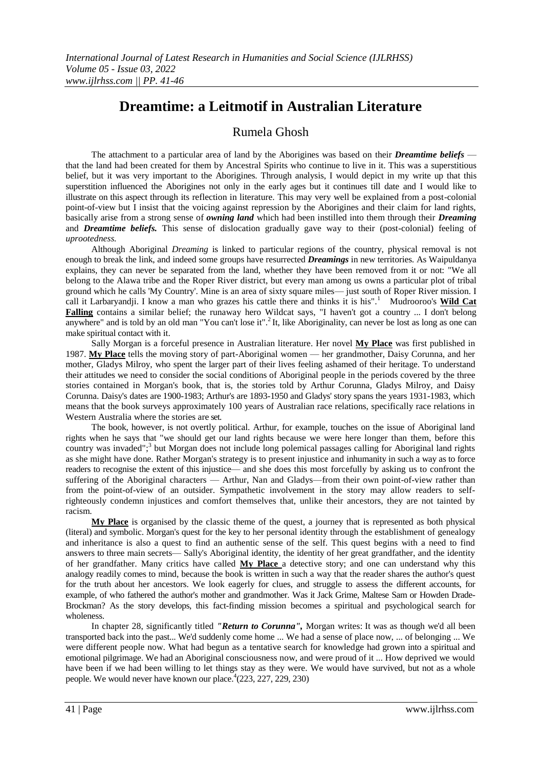# **Dreamtime: a Leitmotif in Australian Literature**

## Rumela Ghosh

The attachment to a particular area of land by the Aborigines was based on their *Dreamtime beliefs*  that the land had been created for them by Ancestral Spirits who continue to live in it. This was a superstitious belief, but it was very important to the Aborigines. Through analysis, I would depict in my write up that this superstition influenced the Aborigines not only in the early ages but it continues till date and I would like to illustrate on this aspect through its reflection in literature. This may very well be explained from a post-colonial point-of-view but I insist that the voicing against repression by the Aborigines and their claim for land rights, basically arise from a strong sense of *owning land* which had been instilled into them through their *Dreaming*  and *Dreamtime beliefs.* This sense of dislocation gradually gave way to their (post-colonial) feeling of *uprootedness.*

Although Aboriginal *Dreaming* is linked to particular regions of the country, physical removal is not enough to break the link, and indeed some groups have resurrected *Dreamings* in new territories. As Waipuldanya explains, they can never be separated from the land, whether they have been removed from it or not: "We all belong to the Alawa tribe and the Roper River district, but every man among us owns a particular plot of tribal ground which he calls 'My Country'. Mine is an area of sixty square miles— just south of Roper River mission. I call it Larbaryandji. I know a man who grazes his cattle there and thinks it is his".<sup>1</sup> Mudrooroo's **Wild Cat Falling** contains a similar belief; the runaway hero Wildcat says, "I haven't got a country ... I don't belong anywhere" and is told by an old man "You can't lose it".<sup>2</sup> It, like Aboriginality, can never be lost as long as one can make spiritual contact with it.

Sally Morgan is a forceful presence in Australian literature. Her novel **My Place** was first published in 1987. **My Place** tells the moving story of part-Aboriginal women — her grandmother, Daisy Corunna, and her mother, Gladys Milroy, who spent the larger part of their lives feeling ashamed of their heritage. To understand their attitudes we need to consider the social conditions of Aboriginal people in the periods covered by the three stories contained in Morgan's book, that is, the stories told by Arthur Corunna, Gladys Milroy, and Daisy Corunna. Daisy's dates are 1900-1983; Arthur's are 1893-1950 and Gladys' story spans the years 1931-1983, which means that the book surveys approximately 100 years of Australian race relations, specifically race relations in Western Australia where the stories are set.

The book, however, is not overtly political. Arthur, for example, touches on the issue of Aboriginal land rights when he says that "we should get our land rights because we were here longer than them, before this country was invaded";<sup>3</sup> but Morgan does not include long polemical passages calling for Aboriginal land rights as she might have done. Rather Morgan's strategy is to present injustice and inhumanity in such a way as to force readers to recognise the extent of this injustice— and she does this most forcefully by asking us to confront the suffering of the Aboriginal characters — Arthur, Nan and Gladys—from their own point-of-view rather than from the point-of-view of an outsider. Sympathetic involvement in the story may allow readers to selfrighteously condemn injustices and comfort themselves that, unlike their ancestors, they are not tainted by racism.

**My Place** is organised by the classic theme of the quest, a journey that is represented as both physical (literal) and symbolic. Morgan's quest for the key to her personal identity through the establishment of genealogy and inheritance is also a quest to find an authentic sense of the self. This quest begins with a need to find answers to three main secrets— Sally's Aboriginal identity, the identity of her great grandfather, and the identity of her grandfather. Many critics have called **My Place** a detective story; and one can understand why this analogy readily comes to mind, because the book is written in such a way that the reader shares the author's quest for the truth about her ancestors. We look eagerly for clues, and struggle to assess the different accounts, for example, of who fathered the author's mother and grandmother. Was it Jack Grime, Maltese Sam or Howden Drade-Brockman? As the story develops, this fact-finding mission becomes a spiritual and psychological search for wholeness.

In chapter 28, significantly titled *"Return to Corunna",* Morgan writes: It was as though we'd all been transported back into the past... We'd suddenly come home ... We had a sense of place now, ... of belonging ... We were different people now. What had begun as a tentative search for knowledge had grown into a spiritual and emotional pilgrimage. We had an Aboriginal consciousness now, and were proud of it ... How deprived we would have been if we had been willing to let things stay as they were. We would have survived, but not as a whole people. We would never have known our place.  $^{4}(223, 227, 229, 230)$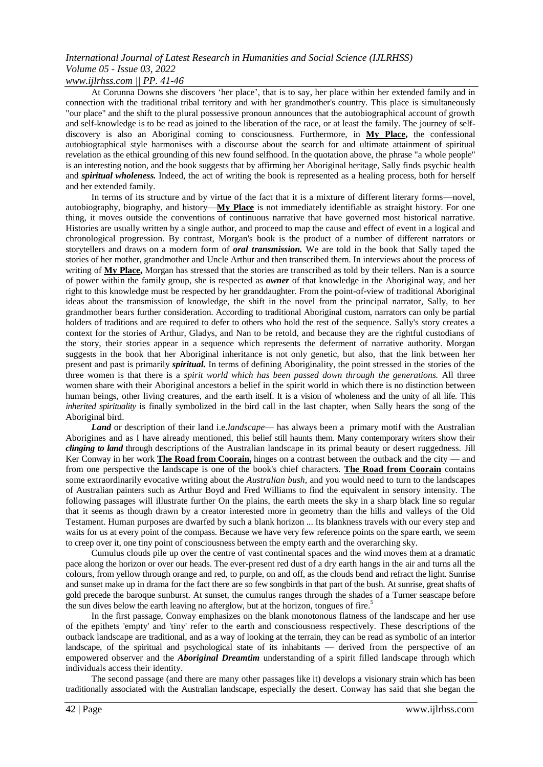*www.ijlrhss.com || PP. 41-46*

At Corunna Downs she discovers "her place", that is to say, her place within her extended family and in connection with the traditional tribal territory and with her grandmother's country. This place is simultaneously "our place" and the shift to the plural possessive pronoun announces that the autobiographical account of growth and self-knowledge is to be read as joined to the liberation of the race, or at least the family. The journey of selfdiscovery is also an Aboriginal coming to consciousness. Furthermore, in **My Place,** the confessional autobiographical style harmonises with a discourse about the search for and ultimate attainment of spiritual revelation as the ethical grounding of this new found selfhood. In the quotation above, the phrase "a whole people" is an interesting notion, and the book suggests that by affirming her Aboriginal heritage, Sally finds psychic health and *spiritual wholeness.* Indeed, the act of writing the book is represented as a healing process, both for herself and her extended family.

In terms of its structure and by virtue of the fact that it is a mixture of different literary forms—novel, autobiography, biography, and history—**My Place** is not immediately identifiable as straight history. For one thing, it moves outside the conventions of continuous narrative that have governed most historical narrative. Histories are usually written by a single author, and proceed to map the cause and effect of event in a logical and chronological progression. By contrast, Morgan's book is the product of a number of different narrators or storytellers and draws on a modern form of *oral transmission.* We are told in the book that Sally taped the stories of her mother, grandmother and Uncle Arthur and then transcribed them. In interviews about the process of writing of **My Place,** Morgan has stressed that the stories are transcribed as told by their tellers. Nan is a source of power within the family group, she is respected as *owner* of that knowledge in the Aboriginal way, and her right to this knowledge must be respected by her granddaughter. From the point-of-view of traditional Aboriginal ideas about the transmission of knowledge, the shift in the novel from the principal narrator, Sally, to her grandmother bears further consideration. According to traditional Aboriginal custom, narrators can only be partial holders of traditions and are required to defer to others who hold the rest of the sequence. Sally's story creates a context for the stories of Arthur, Gladys, and Nan to be retold, and because they are the rightful custodians of the story, their stories appear in a sequence which represents the deferment of narrative authority. Morgan suggests in the book that her Aboriginal inheritance is not only genetic, but also, that the link between her present and past is primarily *spiritual.* In terms of defining Aboriginality, the point stressed in the stories of the three women is that there is a *spirit world which has been passed down through the generations.* All three women share with their Aboriginal ancestors a belief in the spirit world in which there is no distinction between human beings, other living creatures, and the earth itself. It is a vision of wholeness and the unity of all life. This *inherited spirituality* is finally symbolized in the bird call in the last chapter, when Sally hears the song of the Aboriginal bird.

*Land* or description of their land i.e.*landscape*— has always been a primary motif with the Australian Aborigines and as I have already mentioned, this belief still haunts them. Many contemporary writers show their *clinging to land* through descriptions of the Australian landscape in its primal beauty or desert ruggedness. Jill Ker Conway in her work **The Road from Coorain,** hinges on a contrast between the outback and the city — and from one perspective the landscape is one of the book's chief characters. **The Road from Coorain** contains some extraordinarily evocative writing about the *Australian bush,* and you would need to turn to the landscapes of Australian painters such as Arthur Boyd and Fred Williams to find the equivalent in sensory intensity. The following passages will illustrate further On the plains, the earth meets the sky in a sharp black line so regular that it seems as though drawn by a creator interested more in geometry than the hills and valleys of the Old Testament. Human purposes are dwarfed by such a blank horizon ... Its blankness travels with our every step and waits for us at every point of the compass. Because we have very few reference points on the spare earth, we seem to creep over it, one tiny point of consciousness between the empty earth and the overarching sky.

Cumulus clouds pile up over the centre of vast continental spaces and the wind moves them at a dramatic pace along the horizon or over our heads. The ever-present red dust of a dry earth hangs in the air and turns all the colours, from yellow through orange and red, to purple, on and off, as the clouds bend and refract the light. Sunrise and sunset make up in drama for the fact there are so few songbirds in that part of the bush. At sunrise, great shafts of gold precede the baroque sunburst. At sunset, the cumulus ranges through the shades of a Turner seascape before the sun dives below the earth leaving no afterglow, but at the horizon, tongues of fire.<sup>5</sup>

In the first passage, Conway emphasizes on the blank monotonous flatness of the landscape and her use of the epithets 'empty' and 'tiny' refer to the earth and consciousness respectively. These descriptions of the outback landscape are traditional, and as a way of looking at the terrain, they can be read as symbolic of an interior landscape, of the spiritual and psychological state of its inhabitants — derived from the perspective of an empowered observer and the *Aboriginal Dreamtim* understanding of a spirit filled landscape through which individuals access their identity.

The second passage (and there are many other passages like it) develops a visionary strain which has been traditionally associated with the Australian landscape, especially the desert. Conway has said that she began the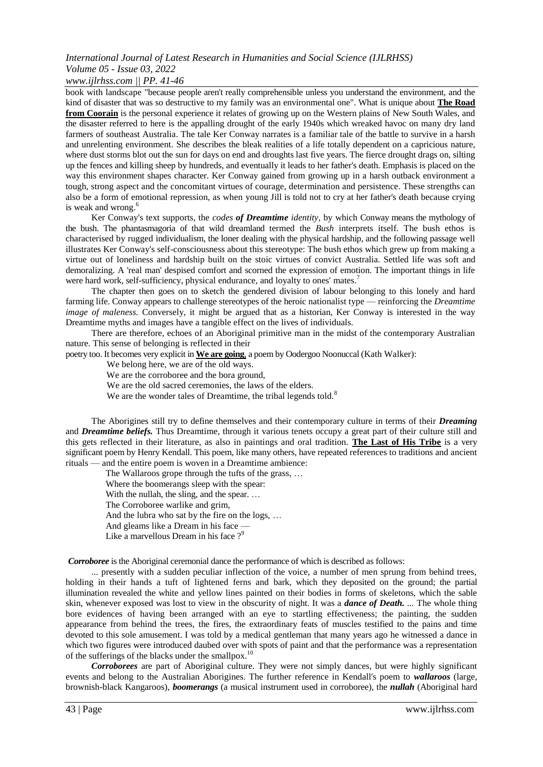### *www.ijlrhss.com || PP. 41-46*

book with landscape "because people aren't really comprehensible unless you understand the environment, and the kind of disaster that was so destructive to my family was an environmental one". What is unique about **The Road from Coorain** is the personal experience it relates of growing up on the Western plains of New South Wales, and the disaster referred to here is the appalling drought of the early 1940s which wreaked havoc on many dry land farmers of southeast Australia. The tale Ker Conway narrates is a familiar tale of the battle to survive in a harsh and unrelenting environment. She describes the bleak realities of a life totally dependent on a capricious nature, where dust storms blot out the sun for days on end and droughts last five years. The fierce drought drags on, silting up the fences and killing sheep by hundreds, and eventually it leads to her father's death. Emphasis is placed on the way this environment shapes character. Ker Conway gained from growing up in a harsh outback environment a tough, strong aspect and the concomitant virtues of courage, determination and persistence. These strengths can also be a form of emotional repression, as when young Jill is told not to cry at her father's death because crying is weak and wrong.<sup>6</sup>

Ker Conway's text supports, the *codes of Dreamtime identity,* by which Conway means the mythology of the bush. The phantasmagoria of that wild dreamland termed the *Bush* interprets itself. The bush ethos is characterised by rugged individualism, the loner dealing with the physical hardship, and the following passage well illustrates Ker Conway's self-consciousness about this stereotype: The bush ethos which grew up from making a virtue out of loneliness and hardship built on the stoic virtues of convict Australia. Settled life was soft and demoralizing. A 'real man' despised comfort and scorned the expression of emotion. The important things in life were hard work, self-sufficiency, physical endurance, and loyalty to ones' mates.<sup>7</sup>

The chapter then goes on to sketch the gendered division of labour belonging to this lonely and hard farming life. Conway appears to challenge stereotypes of the heroic nationalist type — reinforcing the *Dreamtime image of maleness.* Conversely, it might be argued that as a historian, Ker Conway is interested in the way Dreamtime myths and images have a tangible effect on the lives of individuals.

There are therefore, echoes of an Aboriginal primitive man in the midst of the contemporary Australian nature. This sense of belonging is reflected in their

poetr[y too. It](http://tooj.lt/) becomes very explicit in **We are going**, a poem by Oodergoo Noonuccal (Kath Walker):

We belong here, we are of the old ways.

We are the corroboree and the bora ground,

We are the old sacred ceremonies, the laws of the elders.

We are the wonder tales of Dreamtime, the tribal legends told.<sup>8</sup>

The Aborigines still try to define themselves and their contemporary culture in terms of their *Dreaming*  and *Dreamtime beliefs.* Thus Dreamtime, through it various tenets occupy a great part of their culture still and this gets reflected in their literature, as also in paintings and oral tradition. **The Last of His Tribe** is a very significant poem by Henry Kendall. This poem, like many others, have repeated references to traditions and ancient rituals — and the entire poem is woven in a Dreamtime ambience:

The Wallaroos grope through the tufts of the grass, …

Where the boomerangs sleep with the spear:

With the nullah, the sling, and the spear. ...

The Corroboree warlike and grim,

And the lubra who sat by the fire on the logs, …

And gleams like a Dream in his face —

Like a marvellous Dream in his face ?<sup>9</sup>

*Corroboree* is the Aboriginal ceremonial dance the performance of which is described as follows:

... presently with a sudden peculiar inflection of the voice, a number of men sprung from behind trees, holding in their hands a tuft of lightened ferns and bark, which they deposited on the ground; the partial illumination revealed the white and yellow lines painted on their bodies in forms of skeletons, which the sable skin, whenever exposed was lost to view in the obscurity of night. It was a *dance of Death. ...* The whole thing bore evidences of having been arranged with an eye to startling effectiveness; the painting, the sudden appearance from behind the trees, the fires, the extraordinary feats of muscles testified to the pains and time devoted to this sole amusement. I was told by a medical gentleman that many years ago he witnessed a dance in which two figures were introduced daubed over with spots of paint and that the performance was a representation of the sufferings of the blacks under the smallpox.<sup>10</sup>

*Corroborees* are part of Aboriginal culture. They were not simply dances, but were highly significant events and belong to the Australian Aborigines. The further reference in Kendall's poem to *wallaroos* (large, brownish-black Kangaroos), *boomerangs* (a musical instrument used in corroboree), the *nullah* (Aboriginal hard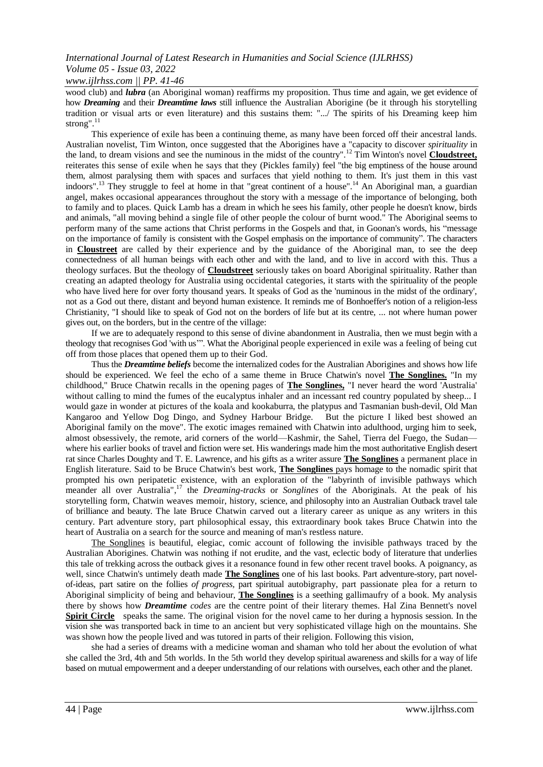*www.ijlrhss.com || PP. 41-46*

wood club) and *lubra* (an Aboriginal woman) reaffirms my proposition. Thus time and again, we get evidence of how *Dreaming* and their *Dreamtime laws* still influence the Australian Aborigine (be it through his storytelling tradition or visual arts or even literature) and this sustains them: ".../ The spirits of his Dreaming keep him strong".<sup>1</sup>

This experience of exile has been a continuing theme, as many have been forced off their ancestral lands. Australian novelist, Tim Winton, once suggested that the Aborigines have a "capacity to discover *spirituality* in the land, to dream visions and see the numinous in the midst of the country".<sup>12</sup> Tim Winton's novel **Cloudstreet,** reiterates this sense of exile when he says that they (Pickles family) feel "the big emptiness of the house around them, almost paralysing them with spaces and surfaces that yield nothing to them. It's just them in this vast indoors".<sup>13</sup> They struggle to feel at home in that "great continent of a house".<sup>14</sup> An Aboriginal man, a guardian angel, makes occasional appearances throughout the story with a message of the importance of belonging, both to family and to places. Quick Lamb has a dream in which he sees his family, other people he doesn't know, birds and animals, "all moving behind a single file of other people the colour of burnt wood." The Aboriginal seems to perform many of the same actions that Christ performs in the Gospels and that, in Goonan's words, his "message on the importance of family is consistent with the Gospel emphasis on the importance of community". The characters in **Cloustreet** are called by their experience and by the guidance of the Aboriginal man, to see the deep connectedness of all human beings with each other and with the land, and to live in accord with this. Thus a theology surfaces. But the theology of **Cloudstreet** seriously takes on board Aboriginal spirituality. Rather than creating an adapted theology for Australia using occidental categories, it starts with the spirituality of the people who have lived here for over forty thousand years. It speaks of God as the 'numinous in the midst of the ordinary', not as a God out there, distant and beyond human existence. It reminds me of Bonhoeffer's notion of a religion-less Christianity, "I should like to speak of God not on the borders of life but at its centre, ... not where human power gives out, on the borders, but in the centre of the village:

If we are to adequately respond to this sense of divine abandonment in Australia, then we must begin with a theology that recognises God 'with us"". What the Aboriginal people experienced in exile was a feeling of being cut off from those places that opened them up to their God.

Thus the *Dreamtime beliefs* become the internalized codes for the Australian Aborigines and shows how life should be experienced. We feel the echo of a same theme in Bruce Chatwin's novel **The Songlines.** "In my childhood," Bruce Chatwin recalls in the opening pages of **The Songlines,** "I never heard the word 'Australia' without calling to mind the fumes of the eucalyptus inhaler and an incessant red country populated by sheep... I would gaze in wonder at pictures of the koala and kookaburra, the platypus and Tasmanian bush-devil, Old Man Kangaroo and Yellow Dog Dingo, and Sydney Harbour Bridge. But the picture I liked best showed an Aboriginal family on the move". The exotic images remained with Chatwin into adulthood, urging him to seek, almost obsessively, the remote, arid corners of the world—Kashmir, the Sahel, Tierra del Fuego, the Sudan where his earlier books of travel and fiction were set. His wanderings made him the most authoritative English desert rat since Charles Doughty and T. E. Lawrence, and his gifts as a writer assure **The Songlines** a permanent place in English literature. Said to be Bruce Chatwin's best work, **The Songlines** pays homage to the nomadic spirit that prompted his own peripatetic existence, with an exploration of the "labyrinth of invisible pathways which meander all over Australia", <sup>17</sup> the *Dreaming-tracks* or *Songlines* of the Aboriginals. At the peak of his storytelling form, Chatwin weaves memoir, history, science, and philosophy into an Australian Outback travel tale of brilliance and beauty. The late Bruce Chatwin carved out a literary career as unique as any writers in this century. Part adventure story, part philosophical essay, this extraordinary book takes Bruce Chatwin into the heart of Australia on a search for the source and meaning of man's restless nature.

The Songlines is beautiful, elegiac, comic account of following the invisible pathways traced by the Australian Aborigines. Chatwin was nothing if not erudite, and the vast, eclectic body of literature that underlies this tale of trekking across the outback gives it a resonance found in few other recent travel books. A poignancy, as well, since Chatwin's untimely death made **The Songlines** one of his last books. Part adventure-story, part novelof-ideas, part satire on the follies *of progress,* part spiritual autobigraphy, part passionate plea for a return to Aboriginal simplicity of being and behaviour, **The Songlines** is a seething gallimaufry of a book. My analysis there by shows how *Dreamtime codes* are the centre point of their literary themes. Hal Zina Bennett's novel **Spirit Circle** speaks the same. The original vision for the novel came to her during a hypnosis session. In the vision she was transported back in time to an ancient but very sophisticated village high on the mountains. She was shown how the people lived and was tutored in parts of their religion. Following this vision,

she had a series of dreams with a medicine woman and shaman who told her about the evolution of what she called the 3rd, 4th and 5th worlds. In the 5th world they develop spiritual awareness and skills for a way of life based on mutual empowerment and a deeper understanding of our relations with ourselves, each other and the planet.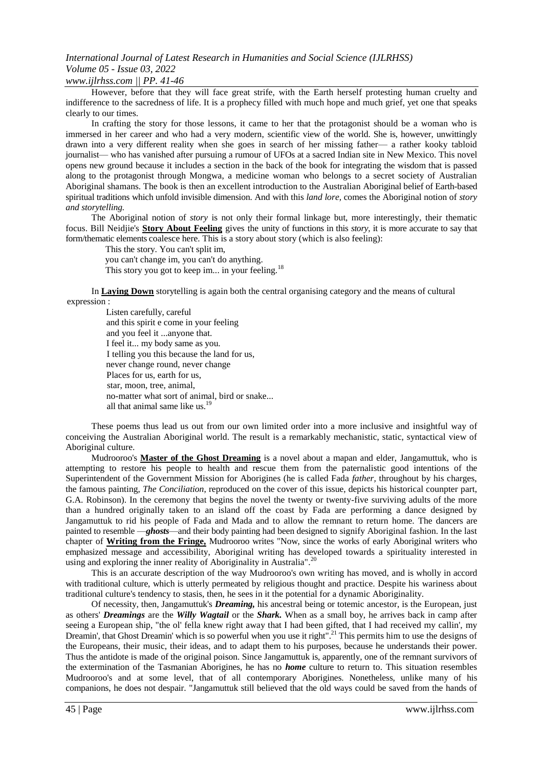#### *www.ijlrhss.com || PP. 41-46*

However, before that they will face great strife, with the Earth herself protesting human cruelty and indifference to the sacredness of life. It is a prophecy filled with much hope and much grief, yet one that speaks clearly to our times.

In crafting the story for those lessons, it came to her that the protagonist should be a woman who is immersed in her career and who had a very modern, scientific view of the world. She is, however, unwittingly drawn into a very different reality when she goes in search of her missing father— a rather kooky tabloid journalist— who has vanished after pursuing a rumour of UFOs at a sacred Indian site in New Mexico. This novel opens new ground because it includes a section in the back of the book for integrating the wisdom that is passed along to the protagonist through Mongwa, a medicine woman who belongs to a secret society of Australian Aboriginal shamans. The book is then an excellent introduction to the Australian Aboriginal belief of Earth-based spiritual traditions which unfold invisible dimension. And with this *land lore,* comes the Aboriginal notion of *story and storytelling.*

The Aboriginal notion of *story* is not only their formal linkage but, more interestingly, their thematic focus. Bill Neidjie's **Story About Feeling** gives the unity of functions in this *story,* it is more accurate to say that form/thematic elements coalesce here. This is a story about story (which is also feeling):

This the story. You can't split im,

you can't change im, you can't do anything.

This story you got to keep im... in your feeling.<sup>18</sup>

In **Laying Down** storytelling is again both the central organising category and the means of cultural expression :

Listen carefully, careful and this spirit e come in your feeling and you feel it ...anyone that. I feel it... my body same as you. I telling you this because the land for us, never change round, never change Places for us, earth for us, star, moon, tree, animal, no-matter what sort of animal, bird or snake... all that animal same like us.<sup>19</sup>

These poems thus lead us out from our own limited order into a more inclusive and insightful way of conceiving the Australian Aboriginal world. The result is a remarkably mechanistic, static, syntactical view of Aboriginal culture.

Mudrooroo's **Master of the Ghost Dreaming** is a novel about a mapan and elder, Jangamuttuk, who is attempting to restore his people to health and rescue them from the paternalistic good intentions of the Superintendent of the Government Mission for Aborigines (he is called Fada *father,* throughout by his charges, the famous painting, *The Conciliation*, reproduced on the cover of this issue, depicts his historical counpter part, G.A. Robinson). In the ceremony that begins the novel the twenty or twenty-five surviving adults of the more than a hundred originally taken to an island off the coast by Fada are performing a dance designed by Jangamuttuk to rid his people of Fada and Mada and to allow the remnant to return home. The dancers are painted to resemble —*ghosts*—and their body painting had been designed to signify Aboriginal fashion. In the last chapter of **Writing from the Fringe,** Mudrooroo writes "Now, since the works of early Aboriginal writers who emphasized message and accessibility, Aboriginal writing has developed towards a spirituality interested in using and exploring the inner reality of Aboriginality in Australia".<sup>20</sup>

This is an accurate description of the way Mudrooroo's own writing has moved, and is wholly in accord with traditional culture, which is utterly permeated by religious thought and practice. Despite his wariness about traditional culture's tendency to stasis, then, he sees in it the potential for a dynamic Aboriginality.

Of necessity, then, Jangamuttuk's *Dreaming,* his ancestral being or totemic ancestor, is the European, just as others' *Dreamings* are the *Willy Wagtail* or the *Shark.* When as a small boy, he arrives back in camp after seeing a European ship, "the ol' fella knew right away that I had been gifted, that I had received my callin', my Dreamin', that Ghost Dreamin' which is so powerful when you use it right".<sup>21</sup> This permits him to use the designs of the Europeans, their music, their ideas, and to adapt them to his purposes, because he understands their power. Thus the antidote is made of the original poison. Since Jangamuttuk is, apparently, one of the remnant survivors of the extermination of the Tasmanian Aborigines, he has no *home* culture to return to. This situation resembles Mudrooroo's and at some level, that of all contemporary Aborigines. Nonetheless, unlike many of his companions, he does not despair. "Jangamuttuk still believed that the old ways could be saved from the hands of